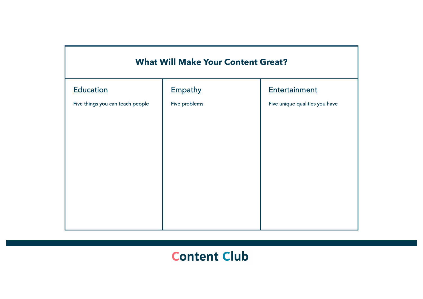

# **Content Club**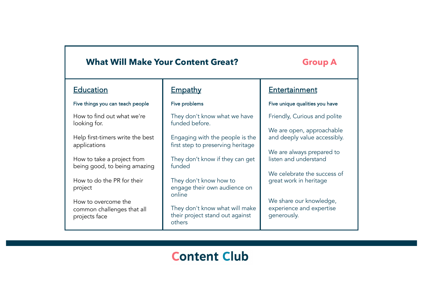# **What Will Make Your Content Great? Group A**

## **Education**

## Five things you can teach people

How to find out what we're looking for.

Help first-timers write the best applications

How to take a project from being good, to being amazing

How to do the PR for their project

How to overcome the common challenges that all projects face

## **Empathy**

## Five problems

They don't know what we have funded before.

Engaging with the people is the first step to preserving heritage

They don't know if they can get funded

They don't know how to engage their own audience on online

They don't know what will make their project stand out against others

## **Entertainment**

## Five unique qualities you have

Friendly, Curious and polite

We are open, approachable and deeply value accessibly.

We are always prepared to listen and understand

We celebrate the success of great work in heritage

We share our knowledge, experience and expertise generously.

# **Content Club**